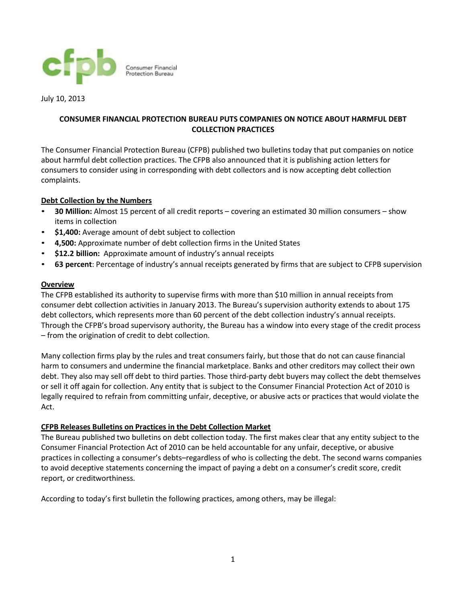

July 10, 2013

# **CONSUMER FINANCIAL PROTECTION BUREAU PUTS COMPANIES ON NOTICE ABOUT HARMFUL DEBT COLLECTION PRACTICES**

The Consumer Financial Protection Bureau (CFPB) published two bulletins today that put companies on notice about harmful debt collection practices. The CFPB also announced that it is publishing action letters for consumers to consider using in corresponding with debt collectors and is now accepting debt collection complaints.

## **Debt Collection by the Numbers**

- **30 Million:** Almost 15 percent of all credit reports covering an estimated 30 million consumers show items in collection
- **\$1,400:** Average amount of debt subject to collection
- **4,500:** Approximate number of debt collection firms in the United States
- **\$12.2 billion:** Approximate amount of industry's annual receipts
- **63 percent**: Percentage of industry's annual receipts generated by firms that are subject to CFPB supervision

## **Overview**

The CFPB established its authority to supervise firms with more than \$10 million in annual receipts from consumer debt collection activities in January 2013. The Bureau's supervision authority extends to about 175 debt collectors, which represents more than 60 percent of the debt collection industry's annual receipts. Through the CFPB's broad supervisory authority, the Bureau has a window into every stage of the credit process – from the origination of credit to debt collection.

Many collection firms play by the rules and treat consumers fairly, but those that do not can cause financial harm to consumers and undermine the financial marketplace. Banks and other creditors may collect their own debt. They also may sell off debt to third parties. Those third-party debt buyers may collect the debt themselves or sell it off again for collection. Any entity that is subject to the Consumer Financial Protection Act of 2010 is legally required to refrain from committing unfair, deceptive, or abusive acts or practices that would violate the Act.

### **CFPB Releases Bulletins on Practices in the Debt Collection Market**

The Bureau published two bulletins on debt collection today. The first makes clear that any entity subject to the Consumer Financial Protection Act of 2010 can be held accountable for any unfair, deceptive, or abusive practices in collecting a consumer's debts–regardless of who is collecting the debt. The second warns companies to avoid deceptive statements concerning the impact of paying a debt on a consumer's credit score, credit report, or creditworthiness.

According to today's first bulletin the following practices, among others, may be illegal: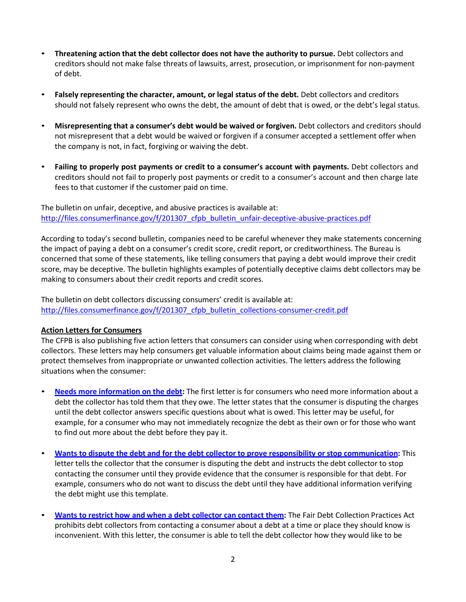- **Threatening action that the debt collector does not have the authority to pursue.** Debt collectors and creditors should not make false threats of lawsuits, arrest, prosecution, or imprisonment for non-payment of debt.
- **Falsely representing the character, amount, or legal status of the debt.** Debt collectors and creditors should not falsely represent who owns the debt, the amount of debt that is owed, or the debt's legal status.
- **Misrepresenting that a consumer's debt would be waived or forgiven.** Debt collectors and creditors should not misrepresent that a debt would be waived or forgiven if a consumer accepted a settlement offer when the company is not, in fact, forgiving or waiving the debt.
- **Failing to properly post payments or credit to a consumer's account with payments.** Debt collectors and creditors should not fail to properly post payments or credit to a consumer's account and then charge late fees to that customer if the customer paid on time.

The bulletin on unfair, deceptive, and abusive practices is available at: http://files.consumerfinance.gov/f/201307 cfpb bulletin unfair-deceptive-abusive-practices.pdf

According to today's second bulletin, companies need to be careful whenever they make statements concerning the impact of paying a debt on a consumer's credit score, credit report, or creditworthiness. The Bureau is concerned that some of these statements, like telling consumers that paying a debt would improve their credit score, may be deceptive. The bulletin highlights examples of potentially deceptive claims debt collectors may be making to consumers about their credit reports and credit scores.

The bulletin on debt collectors discussing consumers' credit is available at: [http://files.consumerfinance.gov/f/201307\\_cfpb\\_bulletin\\_collections-consumer-credit.pdf](http://files.consumerfinance.gov/f/201307_cfpb_bulletin_collections-consumer-credit.pdf)

### **Action Letters for Consumers**

The CFPB is also publishing five action letters that consumers can consider using when corresponding with debt collectors. These letters may help consumers get valuable information about claims being made against them or protect themselves from inappropriate or unwanted collection activities. The letters address the following situations when the consumer:

- **Needs more [information on the](http://files.consumerfinance.gov/f/201307_cfpb_debt-collection-letter-2_more-information.doc) debt:** The first letter is for consumers who need more information about a debt the collector has told them that they owe. The letter states that the consumer is disputing the charges until the debt collector answers specific questions about what is owed. This letter may be useful, for example, for a consumer who may not immediately recognize the debt as their own or for those who want to find out more about the debt before they pay it.
- **Wants to dispute the debt and for the debt collector to prove responsibility or [stop communication:](http://files.consumerfinance.gov/f/201307_cfpb_debt-collection-letter_1-not-my-debt.doc)** This letter tells the collector that the consumer is disputing the debt and instructs the debt collector to stop contacting the consumer until they provide evidence that the consumer is responsible for that debt. For example, consumers who do not want to discuss the debt until they have additional information verifying the debt might use this template.
- **Wants to restrict how and when a debt [collector](http://files.consumerfinance.gov/f/201307_cfpb_debt-collection-letter-5_heres-how-to-contact-me.doc) can contact them:** The Fair Debt Collection Practices Act prohibits debt collectors from contacting a consumer about a debt at a time or place they should know is inconvenient. With this letter, the consumer is able to tell the debt collector how they would like to be